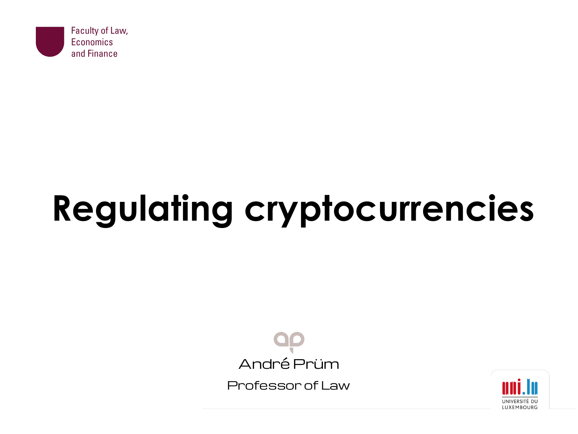

# **Regulating cryptocurrencies**



Professor of Law

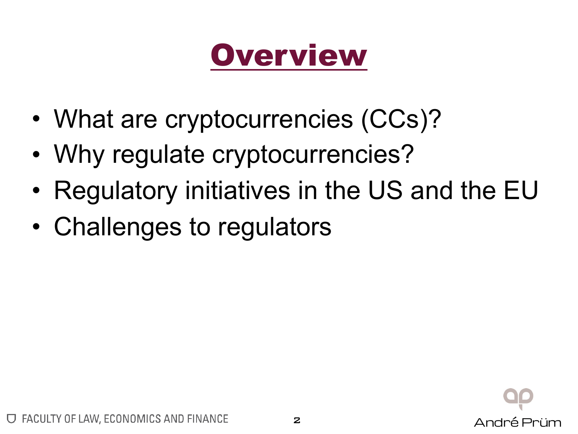## **Overview**

- What are cryptocurrencies (CCs)?
- Why regulate cryptocurrencies?
- Regulatory initiatives in the US and the EU
- Challenges to regulators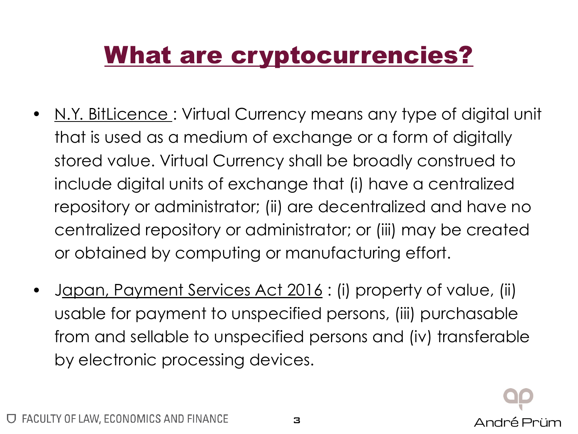### What are cryptocurrencies?

- N.Y. BitLicence: Virtual Currency means any type of digital unit that is used as a medium of exchange or a form of digitally stored value. Virtual Currency shall be broadly construed to include digital units of exchange that (i) have a centralized repository or administrator; (ii) are decentralized and have no centralized repository or administrator; or (iii) may be created or obtained by computing or manufacturing effort.
- Japan, Payment Services Act 2016 : (i) property of value, (ii) usable for payment to unspecified persons, (iii) purchasable from and sellable to unspecified persons and (iv) transferable by electronic processing devices.

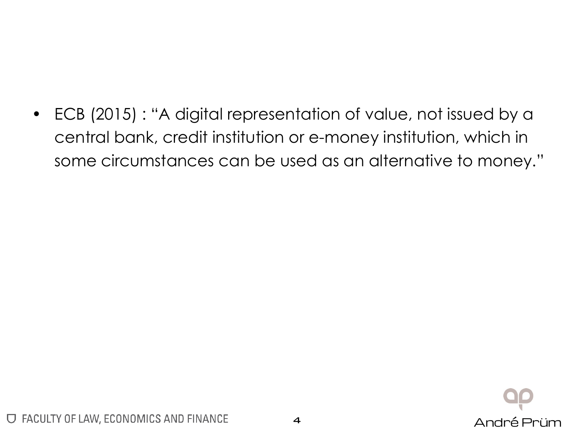• ECB (2015) : "A digital representation of value, not issued by a central bank, credit institution or e-money institution, which in some circumstances can be used as an alternative to money."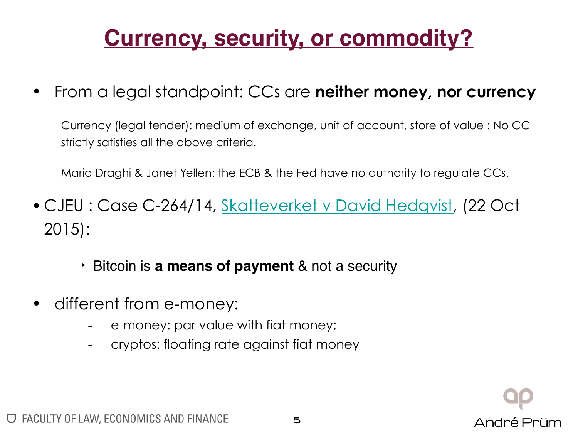#### **Currency, security, or commodity?**

• From a legal standpoint: CCs are **neither money, nor currency**

Currency (legal tender): medium of exchange, unit of account, store of value : No CC strictly satisfies all the above criteria.

Mario Draghi & Janet Yellen: the ECB & the Fed have no authority to regulate CCs.

- CJEU : Case C-264/14, [Skatteverket v David Hedqvist,](http://curia.europa.eu/juris/liste.jsf?num=C-264/14#) (22 Oct 2015):
	- ‣ Bitcoin is **a means of payment** & not a security
- different from e-money:
	- e-money: par value with fiat money;
	- cryptos: floating rate against fiat money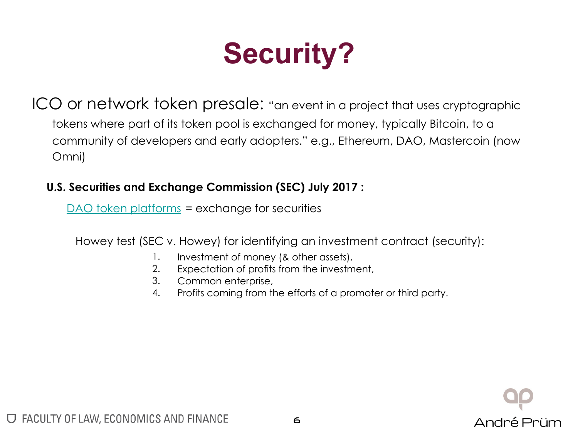## **Security?**

ICO or network token presale: "an event in a project that uses cryptographic tokens where part of its token pool is exchanged for money, typically Bitcoin, to a community of developers and early adopters." e.g., Ethereum, DAO, Mastercoin (now Omni)

#### **U.S. Securities and Exchange Commission (SEC) July 2017 :**

[DAO token platforms](https://www.sec.gov/litigation/investreport/34-81207.pdf) = exchange for securities

Howey test (SEC v. Howey) for identifying an investment contract (security):

- 1. Investment of money (& other assets),
- 2. Expectation of profits from the investment,
- 3. Common enterprise,
- 4. Profits coming from the efforts of a promoter or third party.

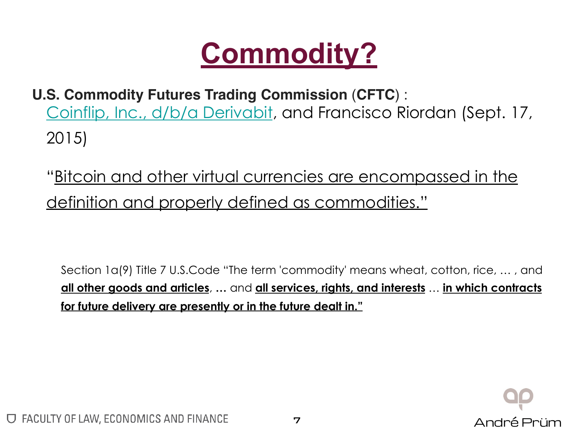

- **U.S. Commodity Futures Trading Commission** (**CFTC**) : [Coinflip, Inc., d/b/a Derivabit,](http://www.cftc.gov/PressRoom/PressReleases/pr7231-15) and Francisco Riordan (Sept. 17, 2015)
	- "Bitcoin and other virtual currencies are encompassed in the definition and properly defined as commodities."

Section 1a(9) Title 7 U.S.Code "The term 'commodity' means wheat, cotton, rice, … , and **all other goods and articles**, **…** and **all services, rights, and interests** … **in which contracts for future delivery are presently or in the future dealt in."**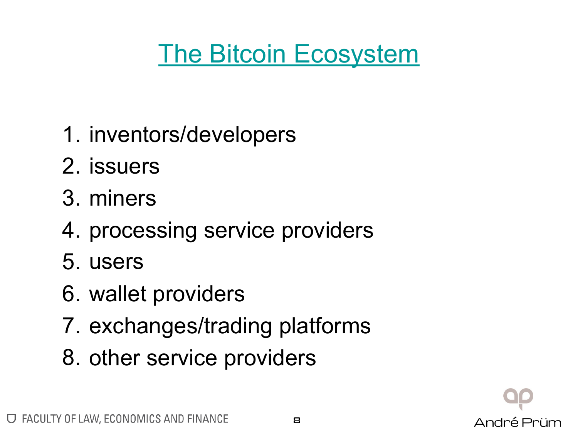### [The Bitcoin Ecosystem](https://bitcoinmagazine.com/articles/bitcoin-is-growing-up-an-infographic-of-the-bitcoin-ecosystem-1447865097/)

- 1. inventors/developers
- 2. issuers
- 3. miners
- 4. processing service providers
- 5. users
- 6. wallet providers
- 7. exchanges/trading platforms
- 8. other service providers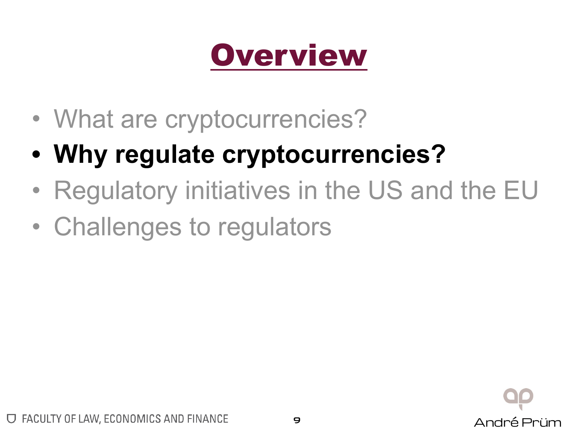## **Overview**

- What are cryptocurrencies?
- **• Why regulate cryptocurrencies?**
- Regulatory initiatives in the US and the EU
- Challenges to regulators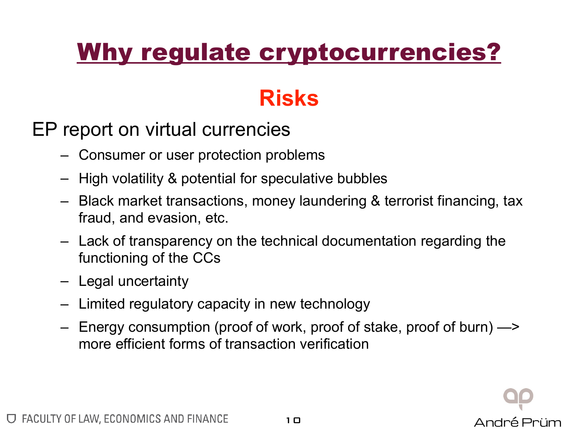### Why regulate cryptocurrencies?

#### **Risks**

#### EP report on virtual currencies

- Consumer or user protection problems
- High volatility & potential for speculative bubbles
- Black market transactions, money laundering & terrorist financing, tax fraud, and evasion, etc.
- Lack of transparency on the technical documentation regarding the functioning of the CCs
- Legal uncertainty
- Limited regulatory capacity in new technology
- Energy consumption (proof of work, proof of stake, proof of burn) —> more efficient forms of transaction verification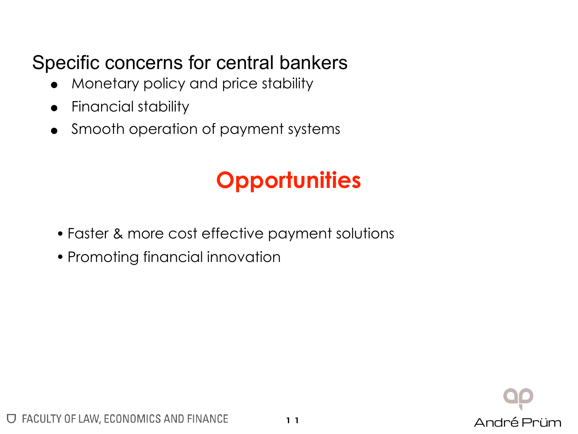#### Specific concerns for central bankers

- Monetary policy and price stability
- Financial stability
- Smooth operation of payment systems

### **Opportunities**

- Faster & more cost effective payment solutions
- Promoting financial innovation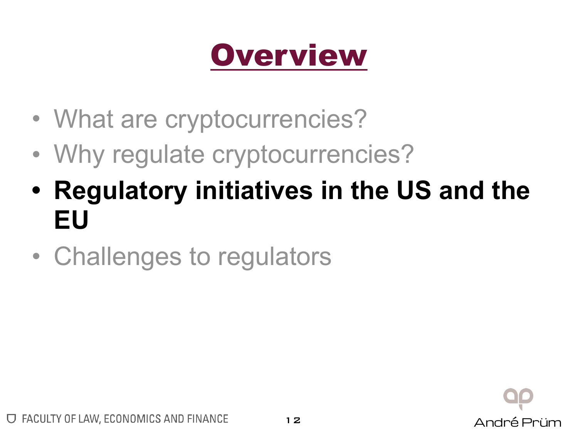## **Overview**

- What are cryptocurrencies?
- Why regulate cryptocurrencies?
- **• Regulatory initiatives in the US and the EU**
- Challenges to regulators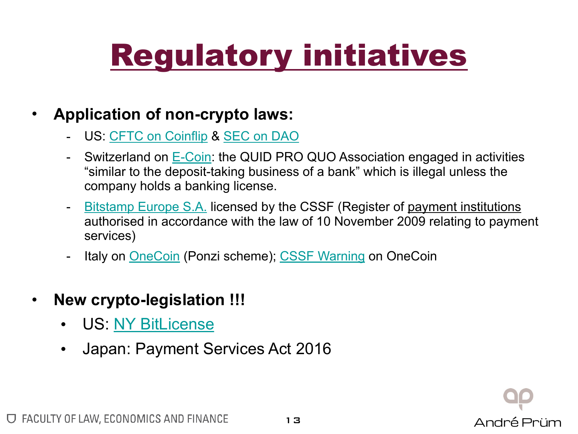## Regulatory initiatives

#### • **Application of non-crypto laws:**

- US: [CFTC on Coinflip](http://www.cftc.gov/PressRoom/PressReleases/pr7231-15) & [SEC on DAO](https://www.sec.gov/litigation/investreport/34-81207.pdf)
- Switzerland on [E-Coin](https://www.finma.ch/en/news/2017/09/20170919-mm-coin-anbieter/): the QUID PRO QUO Association engaged in activities "similar to the deposit-taking business of a bank" which is illegal unless the company holds a banking license.
- [Bitstamp Europe S.A.](https://supervisedentities.apps.cssf.lu/index.html?language=en#DetailEntity) licensed by the CSSF (Register of payment institutions authorised in accordance with the law of 10 November 2009 relating to payment services)
- Italy on [OneCoin](http://www.agcm.it/index.php?option=com_content&view=article&id=8516:ps10550-vendite-piramidali-sospesa-in-via-cautelare-la-promozione-della-criptomoneta-onecoin&catid=8:comunicati-stampa&Itemid=54) (Ponzi scheme); [CSSF Warning](http://www.cssf.lu/fileadmin/files/Protection_consommateurs/Avertissements/W_Onecoin_230817_eng.pdf) on OneCoin
- **New crypto-legislation !!!**
	- US: [NY BitLicense](http://www.dfs.ny.gov/legal/regulations/bitlicense_reg_framework.htm)
	- Japan: Payment Services Act 2016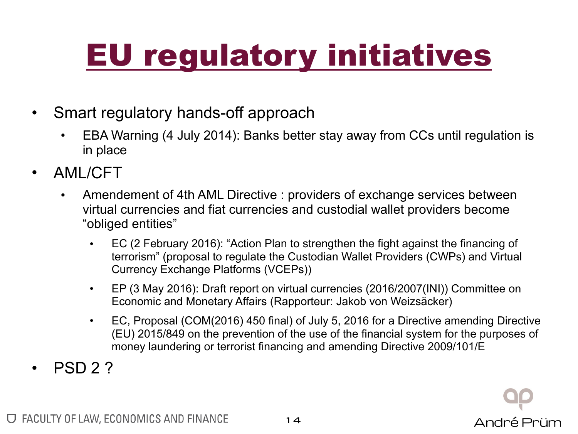## EU regulatory initiatives

- Smart regulatory hands-off approach
	- EBA Warning (4 July 2014): Banks better stay away from CCs until regulation is in place
- AML/CFT
	- Amendement of 4th AML Directive : providers of exchange services between virtual currencies and fiat currencies and custodial wallet providers become "obliged entities"
		- EC (2 February 2016): "Action Plan to strengthen the fight against the financing of terrorism" (proposal to regulate the Custodian Wallet Providers (CWPs) and Virtual Currency Exchange Platforms (VCEPs))
		- EP (3 May 2016): Draft report on virtual currencies (2016/2007(INI)) Committee on Economic and Monetary Affairs (Rapporteur: Jakob von Weizsäcker)
		- EC, Proposal (COM(2016) 450 final) of July 5, 2016 for a Directive amending Directive (EU) 2015/849 on the prevention of the use of the financial system for the purposes of money laundering or terrorist financing and amending Directive 2009/101/E

André Prüm

• PSD 2 ?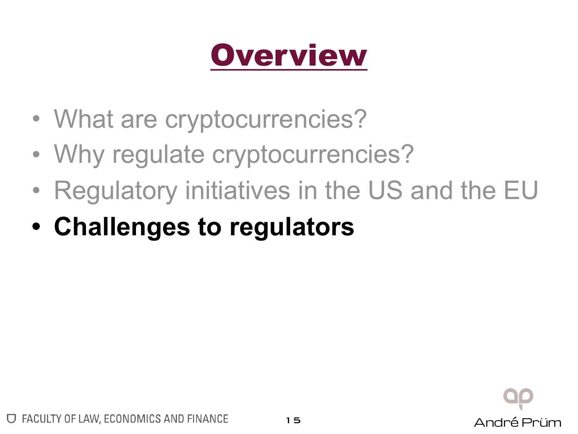## **Overview**

- What are cryptocurrencies?
- Why regulate cryptocurrencies?
- Regulatory initiatives in the US and the EU
- **• Challenges to regulators**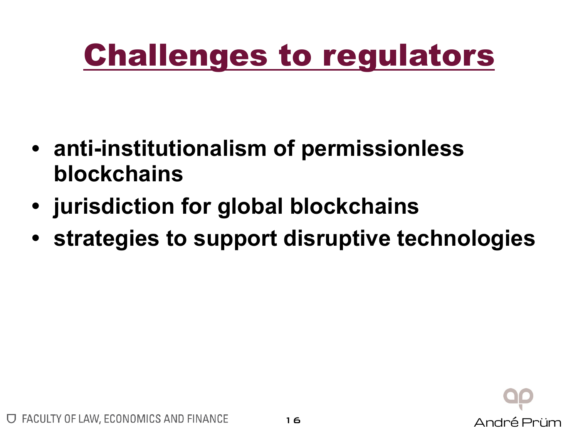## Challenges to regulators

- **• anti-institutionalism of permissionless blockchains**
- **• jurisdiction for global blockchains**
- **• strategies to support disruptive technologies**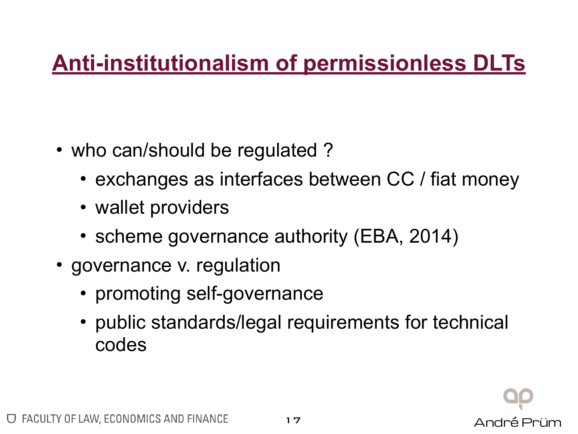### **Anti-institutionalism of permissionless DLTs**

- who can/should be regulated?
	- exchanges as interfaces between CC / fiat money
	- wallet providers
	- scheme governance authority (EBA, 2014)
- governance v. regulation
	- promoting self-governance
	- public standards/legal requirements for technical codes

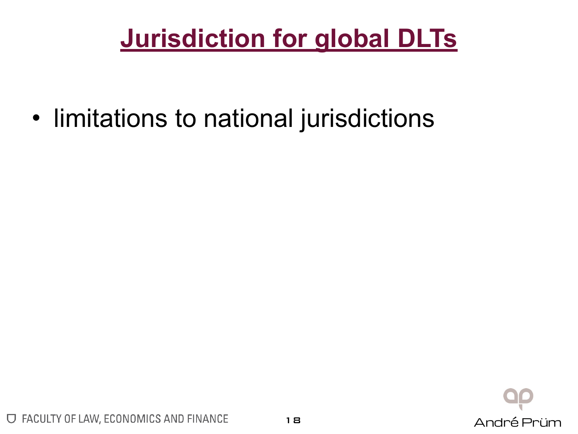### **Jurisdiction for global DLTs**

• limitations to national jurisdictions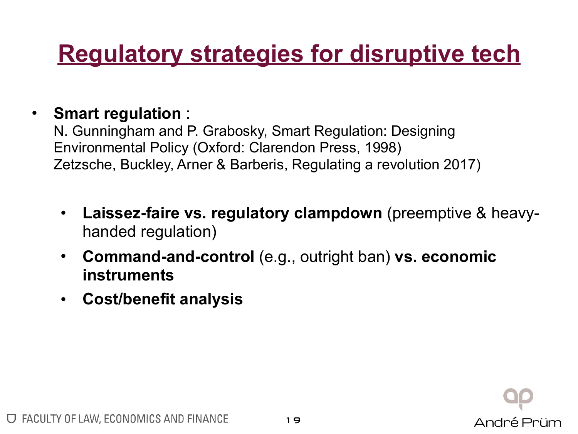### **Regulatory strategies for disruptive tech**

#### • **Smart regulation** :

N. Gunningham and P. Grabosky, Smart Regulation: Designing Environmental Policy (Oxford: Clarendon Press, 1998) Zetzsche, Buckley, Arner & Barberis, Regulating a revolution 2017)

- **Laissez-faire vs. regulatory clampdown** (preemptive & heavyhanded regulation)
- **Command-and-control** (e.g., outright ban) **vs. economic instruments**
- **Cost/benefit analysis**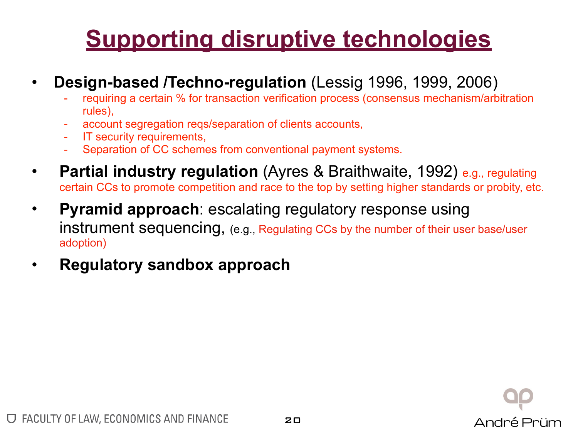### **Supporting disruptive technologies**

### **Design-based /Techno-regulation (Lessig 1996, 1999, 2006)**<br>France requiring a certain % for transaction verification process (consensus mechanism/arbitration

- rules),
- account segregation reqs/separation of clients accounts,
- **IT security requirements,**
- Separation of CC schemes from conventional payment systems.
- **Partial industry regulation** (Ayres & Braithwaite, 1992) e.g., regulating certain CCs to promote competition and race to the top by setting higher standards or probity, etc.
- **Pyramid approach**: escalating regulatory response using instrument sequencing, (e.g., Regulating CCs by the number of their user base/user adoption)
- **Regulatory sandbox approach**